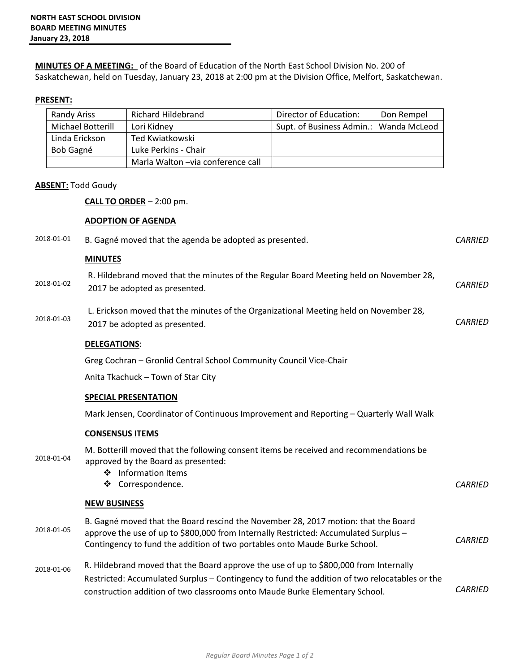**MINUTES OF A MEETING:** of the Board of Education of the North East School Division No. 200 of Saskatchewan, held on Tuesday, January 23, 2018 at 2:00 pm at the Division Office, Melfort, Saskatchewan.

## **PRESENT:**

| Randy Ariss       | <b>Richard Hildebrand</b>         | Director of Education:                 | Don Rempel |
|-------------------|-----------------------------------|----------------------------------------|------------|
| Michael Botterill | Lori Kidney                       | Supt. of Business Admin.: Wanda McLeod |            |
| Linda Erickson    | Ted Kwiatkowski                   |                                        |            |
| Bob Gagné         | Luke Perkins - Chair              |                                        |            |
|                   | Marla Walton –via conference call |                                        |            |

## **ABSENT:** Todd Goudy

**CALL TO ORDER** – 2:00 pm.

## **ADOPTION OF AGENDA**

| 2018-01-01 | B. Gagné moved that the agenda be adopted as presented.                                                                                                                                                                                                               | <b>CARRIED</b> |
|------------|-----------------------------------------------------------------------------------------------------------------------------------------------------------------------------------------------------------------------------------------------------------------------|----------------|
|            | <b>MINUTES</b>                                                                                                                                                                                                                                                        |                |
| 2018-01-02 | R. Hildebrand moved that the minutes of the Regular Board Meeting held on November 28,<br>2017 be adopted as presented.                                                                                                                                               | <b>CARRIED</b> |
| 2018-01-03 | L. Erickson moved that the minutes of the Organizational Meeting held on November 28,<br>2017 be adopted as presented.                                                                                                                                                | <b>CARRIED</b> |
|            | <b>DELEGATIONS:</b>                                                                                                                                                                                                                                                   |                |
|            | Greg Cochran - Gronlid Central School Community Council Vice-Chair                                                                                                                                                                                                    |                |
|            | Anita Tkachuck - Town of Star City                                                                                                                                                                                                                                    |                |
|            | <b>SPECIAL PRESENTATION</b>                                                                                                                                                                                                                                           |                |
|            | Mark Jensen, Coordinator of Continuous Improvement and Reporting - Quarterly Wall Walk                                                                                                                                                                                |                |
|            | <b>CONSENSUS ITEMS</b>                                                                                                                                                                                                                                                |                |
| 2018-01-04 | M. Botterill moved that the following consent items be received and recommendations be<br>approved by the Board as presented:<br>❖ Information Items<br>❖ Correspondence.                                                                                             | <b>CARRIED</b> |
|            | <b>NEW BUSINESS</b>                                                                                                                                                                                                                                                   |                |
| 2018-01-05 | B. Gagné moved that the Board rescind the November 28, 2017 motion: that the Board<br>approve the use of up to \$800,000 from Internally Restricted: Accumulated Surplus -<br>Contingency to fund the addition of two portables onto Maude Burke School.              | <b>CARRIED</b> |
| 2018-01-06 | R. Hildebrand moved that the Board approve the use of up to \$800,000 from Internally<br>Restricted: Accumulated Surplus - Contingency to fund the addition of two relocatables or the<br>construction addition of two classrooms onto Maude Burke Elementary School. | <b>CARRIED</b> |
|            |                                                                                                                                                                                                                                                                       |                |